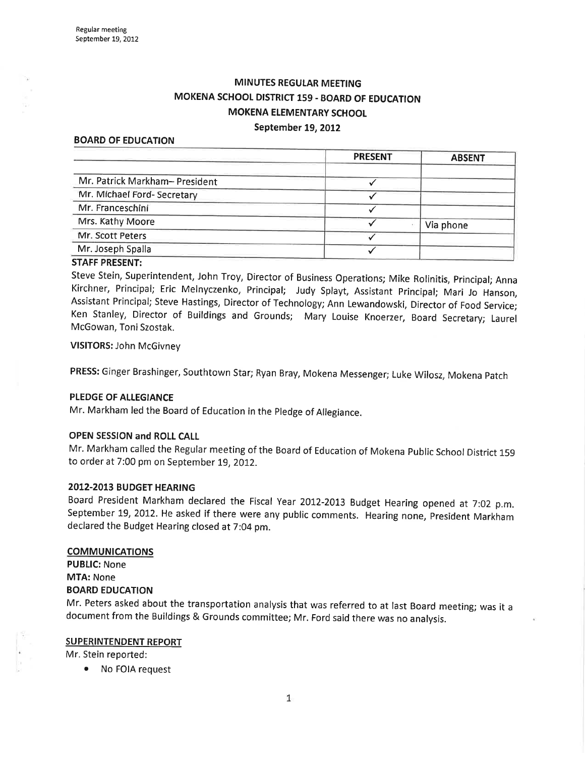# MINUTES REGULAR MEETING MOKENA SCHOOL DISTRICT 159 - BOARD OF EDUCATION MOKENA ELEMENTARY SCHOOL

#### September 19, 2012

#### BOARD OF EDUCATION

|                                | <b>PRESENT</b> | <b>ABSENT</b> |  |
|--------------------------------|----------------|---------------|--|
| Mr. Patrick Markham- President |                |               |  |
| Mr. Michael Ford- Secretary    |                |               |  |
| Mr. Franceschini               |                |               |  |
| Mrs. Kathy Moore               |                | Via phone     |  |
| Mr. Scott Peters               |                |               |  |
| Mr. Joseph Spalla              |                |               |  |
|                                |                |               |  |

### STAFF PRESENT:

Steve Stein, Superintendent, John Troy, Director of Business Operations; Mike Rolinitis, principal; Anna Kirchner, Principal; Eric Melnyczenko, Principal; Judy Splayt, Assistant principal; Mari Jo Hanson, Assistant Principal; Steve Hastings, Director of Technology; Ann Lewandowski, Director of Food Service; Ken Stanley, Director of Buildings and Grounds; Mary Louise Knoerzer, Board Secretary; Laurel McGowan, Toni Szostak.

#### VISITORS: John McGivney

PRESS: Ginger Brashinger, Southtown Star; Ryan Bray, Mokena Messenger; Luke Wilosz, Mokena patch

#### PLEDGE OF ALLEGIANCE

Mr. Markham led the Board of Education in the pledge of Allegiance.

#### OPEN SESSION and ROLI CALL

Mr. Markham called the Regular meeting of the Board of Education of Mokena public School District <sup>159</sup> to order at 7:00 pm on September 19, 2012.

#### 2012-2013 BUDGET HEARING

Board President Markham declared the Fiscal Year 2012-2073 Budget Hearing opened at 7:02 p.m. September 19, 2012. He asked if there were any public comments. Hearing none, President Markham declared the Budget Hearing closed at 7:04 pm.

#### **COMMUNICATIONS**

PUBLIC: None MTA: None BOARD EDUCATION

Mr. Peters asked about the transportation analysis that was referred to at last Board meeting; was it <sup>a</sup> document from the Buildings & Grounds committee; Mr. Ford said there was no analysis.

### SUPERINTENDENT REPORT

Mr. Stein reported:

No FOIA request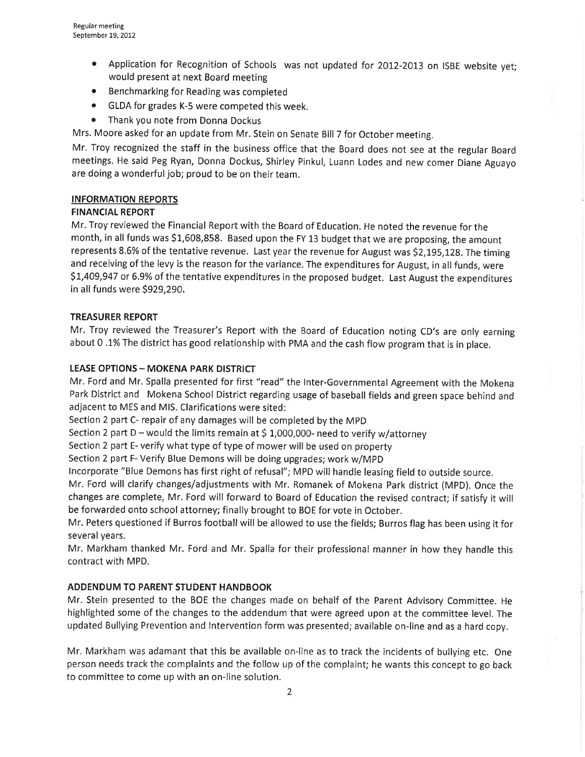- Application for Recognition of Schools was not updated for 2012-2013 on ISBE website yet; would present at next Board meeting
- o Benchmarking for Reading was completed
- o GLDA for grades K-5 were competed this week.
- Thank you note from Donna Dockus

Mrs. Moore asked for an update from Mr. Stein on Senate Bill 7 for October meeting.

Mr. Troy recognized the staff in the business office that the Board does not see at the regular Board meetings. He said Peg Ryan, Donna Dockus, Shirley Pinkul, Luann Lodes and new comer Diane Aguayo are doing a wonderful job; proud to be on their team.

# INFORMATION REPORTS

# FINANCIAL REPORT

Mr. Troy reviewed the Financial Report with the Board of Education. He noted the revenue for the month, in all funds was \$L,608,858. Based upon the FY L3 budget that we are proposing, the amount represents 8.6% of the tentative revenue. Last year the revenue for August was \$2,195,128. The timing and receiving of the levy is the reason for the variance. The expenditures for August, in all funds, were \$1,409,947 or 6.9% of the tentative expenditures in the proposed budget. Last August the expenditures in all funds were \$929,290.

# TREASURER REPORT

Mr. Troy reviewed the Treasurer's Report with the Board of Education noting CD's are only earning about 0.1% The district has good relationship with PMA and the cash flow program that is in place.

# LEASE OPTIONS - MOKENA PARK DISTRICT

Mr. Ford and Mr. Spalla presented for first "read" the Inter-Governmental Agreement with the Mokena Park District and Mokena School District regarding usage of baseball fields and green space behind and adjacent to MES and MlS. Clarifications were sited:

Section 2 part C- repair of any damages will be completed by the MpD

Section 2 part D - would the limits remain at \$ 1,000,000- need to verify w/attorney

Section 2 part E- verify what type of type of mower will be used on property

Section 2 part F- Verify Blue Demons will be doing upgrades; work w/MPD

lncorporate "Blue Demons has first right of refusal"; MPD will handle leasing field to outside source,

Mr. Ford will clarify changes/adjustments with Mr. Romanek of Mokena Park district (MPD). Once the changes are complete, Mr. Ford will forward to Board of Education the revised contract; if satisfy it will be forwarded onto school attorney; finally brought to BOE for vote in October.

Mr. Peters questioned if Burros football will be allowed to use the fields; Burros flag has been using it for several years.

Mr. Markham thanked Mr. Ford and Mr. Spalla for their professional manner in how they handle this contract with MPD.

# ADDENDUM TO PARENT STUDENT HANDBOOK

Mr. Stein presented to the BOE the changes made on behalf of the Parent Advisory Committee. He highlighted some of the changes to the addendum that were agreed upon at the committee level. The updated Bullying Prevention and lntervention form was presented; available on-line and as a hard copy.

Mr, Markham was adamant that this be available on-line as to track the incidents of bullying etc. One person needs track the complaints and the follow up of the complaint; he wants this concept to go back to committee to come up with an on-line solution.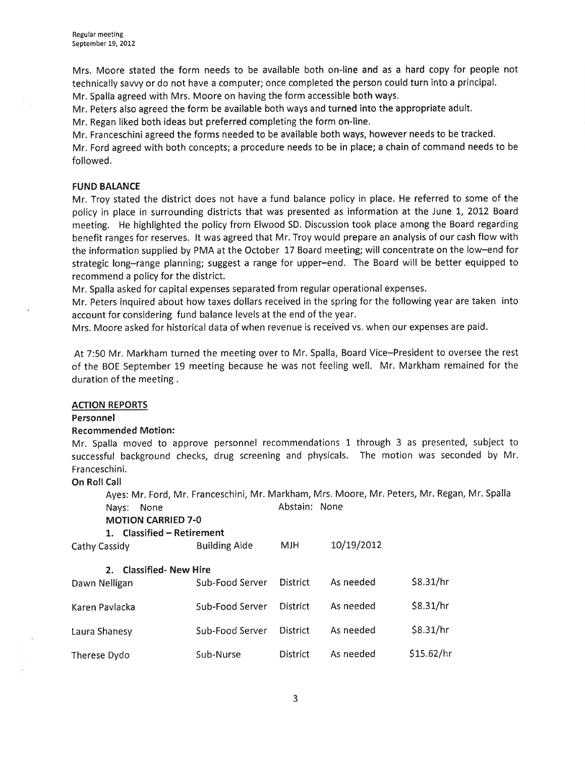Mrs. Moore stated the form needs to be available both on-line and as a hard copy for people not technically sawy or do not have a computer; once completed the person could turn into a principal. Mr. Spalla agreed wíth Mrs. Moore on having the form accessible both ways.

Mr. Peters also agreed the form be available both ways and turned into the appropriate adult.

Mr. Regan liked both ideas but preferred completing the form on-line.

Mr. Franceschini agreed the forms needed to be available both ways, however needs to be tracked.

Mr. Ford agreed with both concepts; a procedure needs to be in place; a chain of command needs to be followed,

### FUND BALANCE

Mr. Troy stated the district does not have a fund balance policy in place. He referred to some of the policy in place in surrounding districts that was presented as information at the June 1, 2012 Board meeting. He highlighted the policy from Elwood SD. Discussion took place among the Board regarding benefit ranges for reserves, lt was agreed that Mr. Troy would prepare an analysis of our cash flow with the information supplied by PMA at the October 17 Board meeting; will concentrate on the low-end for strategic long-range planning; suggest a range for upper-end. The Board will be better equipped to recommend a policy for the district.

Mr. Spalla asked for capital expenses separated from regular operational expenses.

Mr. Peters inquired about how taxes dollars received in the spring for the following year are taken into account for considering fund balance levels at the end of the year.

Mrs. Moore asked for historical data of when revenue is received vs. when our expenses are paid.

At 7:50 Mr. Markham turned the meeting over to Mr. Spalla, Board Vice-President to oversee the rest of the BOE September 19 meeting because he was not feeling well. Mr. Markham remained for the duration of the meeting .

#### ACTION REPORTS

#### Personnel

#### Recommended Motion:

Mr. Spalla moved to approve personnel recommendations 1 through 3 as presented, subject to successful background checks, drug screening and physicals. The motion was seconded by Mr. Franceschini.

#### On Roll Call

Ayes: Mr. Ford, Mr. Franceschini, Mr. Markham, Mrs. Moore, Mr. Peters, Mr. Regan, Mr. Spalla Nays: None **Abstain:** None

MOTION CARRIED 7-O

| ,,,,,,, |  |  | . |  |
|---------|--|--|---|--|
|         |  |  |   |  |
|         |  |  |   |  |

### 1. Classified - Retirement

| Cathy Cassidy                                     | <b>Building Aide</b> | <b>MJH</b>      | 10/19/2012 |            |
|---------------------------------------------------|----------------------|-----------------|------------|------------|
| <b>Classified-New Hire</b><br>2.<br>Dawn Nelligan | Sub-Food Server      | <b>District</b> | As needed  | \$8.31/hr  |
| Karen Pavlacka                                    | Sub-Food Server      | <b>District</b> | As needed  | \$8.31/hr  |
| Laura Shanesy                                     | Sub-Food Server      | <b>District</b> | As needed  | \$8.31/hr  |
| Therese Dydo                                      | Sub-Nurse            | <b>District</b> | As needed  | \$15.62/hr |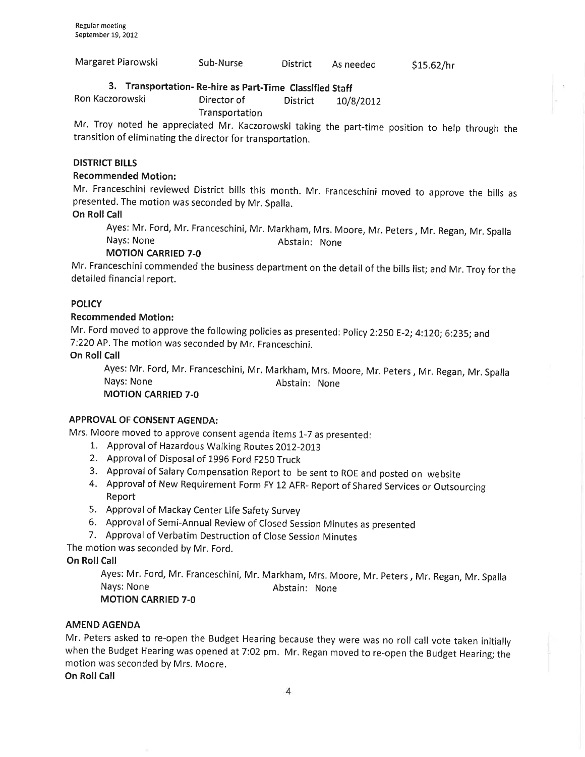| Margaret Piarowski | Sub-Nurse | <b>District</b> | As needed | \$15.62/hr |
|--------------------|-----------|-----------------|-----------|------------|
|                    |           |                 |           |            |

# 3. Transportation- Re-hire as part-Time Classified Staff

Ron Kaczorowski **Director of** District 10/8/2012 **Transportation** 

Mr. Troy noted he appreciated Mr. Kaczorowski taking the part-time position to help through the transition of eliminating the director for transportation.

#### DISTRICT BILLS

### Recommended Motion:

Mr. Franceschini reviewed District bills this month. Mr. Franceschini moved to approve the bills as presented. The motion was seconded by Mr. Spalla.

On Roll Call

Ayes: Mr. Ford, Mr. Franceschini, Mr. Markham, Mrs. Moore, Mr. peters, Mr. Regan, Mr. Spalla Nays: None **Abstain:** None

MOTION CARRIED 7-O

Mr. Franceschini commended the business department on the detail of the bills list; and Mr. Troy for the detailed financial report.

### **POLICY**

### Recommended Motion:

Mr. Ford moved to approve the following policies as presented: Policy 2:250 E-2; 4:120; 6:235; and 7:220 AP. The motion was seconded by Mr, Franceschini,

### **On Roll Call**

Ayes: Mr. Ford, Mr. Franceschini, Mr. Markham, Mrs. Moore, Mr. peters, Mr. Regan, Mr. Spalla Nays: None **Abstain:** None MOTION CARRIED 7-O

### APPROVAL OF CONSENT AGENDA:

Mrs. Moore moved to approve consent agenda items 1-7 as presented:

- 1,. Approval of Hazardous Walking Routes 2OIZ-ZOI3
- 2. Approval of Disposal of 1996 Ford F250 Truck
- 
- 3. Approval of Salary Compensation Report to be sent to ROE and posted on website<br>4. Approval of New Requirement Form FY 12 AFR- Report of Shared Services or Outsourcing Report
- 5. Approval of Mackay Center Life Safety Survey
- 6. Approval of Semi-Annual Review of Closed Session Minutes as presented
- 7. Approval of Verbatim Destruction of Close Session Minutes

The motion was seconded by Mr. Ford.

On Roll Call

Ayes: Mr. Ford, Mr. Franceschini, Mr. Markham, Mrs. Moore, Mr. Peters, Mr. Regan, Mr.Spalla Nays: None **Abstain: None** Abstain: None MOTION CARRIED 7-O

#### AMEND AGENDA

Mr. Peters asked to re-open the Budget Hearing because they were was no roll call vote taken initially when the Budget Hearing was opened at 7:02 pm. Mr. Regan moved to re-open the Budget Hearing; the motion was seconded by Mrs. Moore.

On Roll Call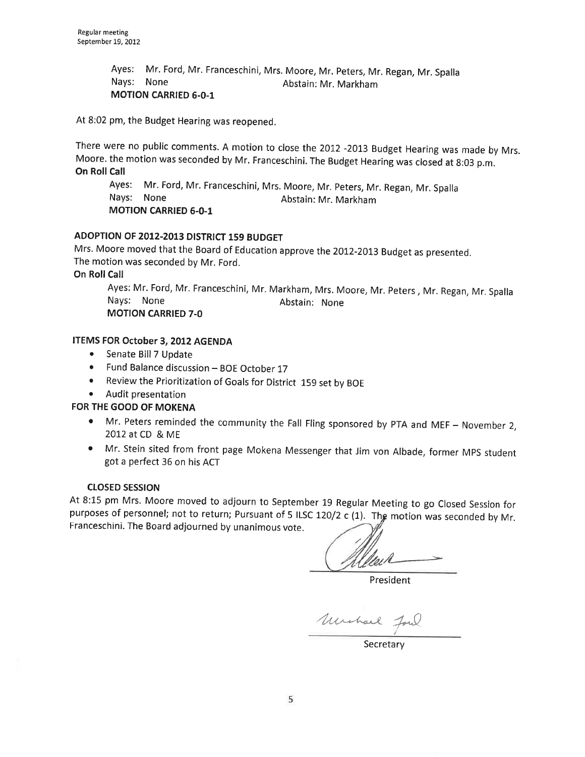Ayes: Mr. Ford, Mr. Franceschinî, Mrs, Moore, Mr. peters, Mr. Regan, Mr. spalla Nays: None Abstain: Mr. Markham MOTION CARRIED 6.0-1

At B:02 pm, the Budget Hearing was reopened.

There were no public comments. A motion to close the 2012 -2013 Budget Hearing was made by Mrs. Moore. the motion was seconded by Mr. Franceschini. The Budget Hearing was closed at 8:03 p.m. On Roll Call

Ayes: Mr. Ford, Mr. Franceschini, Mrs. Moore, Mr. peters, Mr. Regan, Mr. spalla Nays: None MOTION CARRIED 6-0-1 Abstain: Mr. Markham

### ADOPTION OF 2012-2013 DISTRICT 159 BUDGET

Mrs. Moore moved that the Board of Education approve the 2012-2013 Budget as presented. The motion was seconded by Mr. Ford.

On Roll Call

Ayes: Mr. Ford, Mr. Franceschini, Mr. Markham, Mrs. Moore, Mr. Peters, Mr. Regan, Mr. Spalla<br>Nays: None Abstain: None MOTION CARRIED 7.0

### ITEMS FOR October 3,2012 AGENDA

- Senate Bill 7 Update
- Fund Balance discussion BOE October 17
- o Review the Prioritization of Goals for District 159 set by BOE
- o Audit presentation

### FOR THE GOOD OF MOKENA

- Mr. Peters reminded the community the Fall Fling sponsored by PTA and MEF November 2, 2012 at CD & ME
- o Mr. Stein sited from front page Mokena Messenger that Jim von Albade, former MpS student got a perfect 36 on his ACT

#### closED sEsstoN

At 8:15 pm Mrs. Moore moved to adjourn to September 19 Regular Meeting to go Closed Session for purposes of personnel; not to return; Pursuant of 5 ILSC 120/2 c (1). The motion was seconded by Mr.<br>Franceschini. The Board adjourned by unanimous vote.<br>Aller

President

Uncharl Jour

**Secretary**